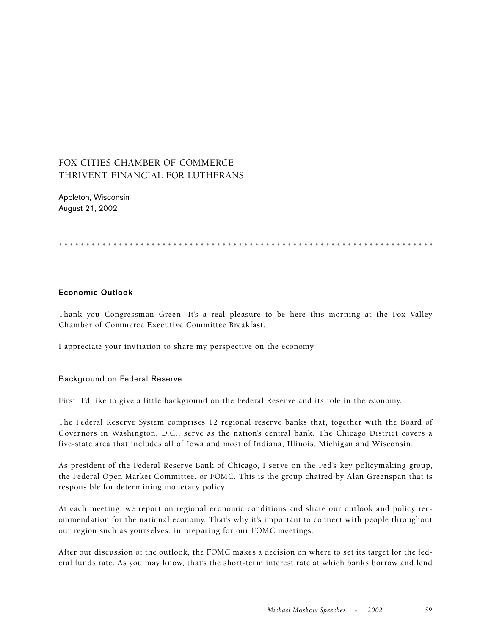# FOX CITIES CHAMBER OF COMMERCE THRIVENT FINANCIAL FOR LUTHERANS

Appleton, Wisconsin August 21, 2002

.....................................................................

## **Economic Outlook**

Thank you Congressman Green. It's a real pleasure to be here this morning at the Fox Valley Chamber of Commerce Executive Committee Breakfast.

I appreciate your invitation to share my perspective on the economy.

#### Background on Federal Reserve

First, I'd like to give a little background on the Federal Reserve and its role in the economy.

The Federal Reserve System comprises 12 regional reserve banks that, together with the Board of Governors in Washington, D.C., serve as the nation's central bank. The Chicago District covers a five-state area that includes all of Iowa and most of Indiana, Illinois, Michigan and Wisconsin.

As president of the Federal Reserve Bank of Chicago, I serve on the Fed's key policymaking group, the Federal Open Market Committee, or FOMC. This is the group chaired by Alan Greenspan that is responsible for determining monetary policy.

At each meeting, we report on regional economic conditions and share our outlook and policy recommendation for the national economy. That's why it's important to connect with people throughout our region such as yourselves, in preparing for our FOMC meetings.

After our discussion of the outlook, the FOMC makes a decision on where to set its target for the federal funds rate. As you may know, that's the short-term interest rate at which banks borrow and lend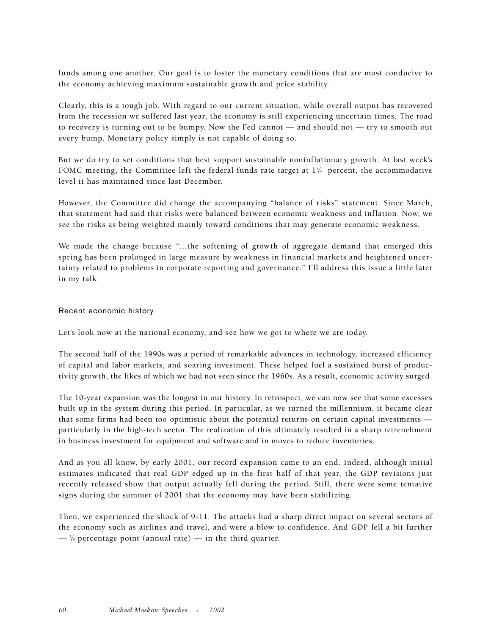funds among one another. Our goal is to foster the monetary conditions that are most conducive to the economy achieving maximum sustainable growth and price stability.

Clearly, this is a tough job. With regard to our current situation, while overall output has recovered from the recession we suffered last year, the economy is still experiencing uncertain times. The road to recovery is turning out to be bumpy. Now the Fed cannot — and should not — try to smooth out every bump. Monetary policy simply is not capable of doing so.

But we do try to set conditions that best support sustainable noninflationary growth. At last week's FOMC meeting, the Committee left the federal funds rate target at  $1\frac{3}{4}$  percent, the accommodative level it has maintained since last December.

However, the Committee did change the accompanying "balance of risks" statement. Since March, that statement had said that risks were balanced between economic weakness and inflation. Now, we see the risks as being weighted mainly toward conditions that may generate economic weakness.

We made the change because "...the softening of growth of aggregate demand that emerged this spring has been prolonged in large measure by weakness in financial markets and heightened uncertainty related to problems in corporate reporting and governance." I'll address this issue a little later in my talk.

#### Recent economic history

Let's look now at the national economy, and see how we got to where we are today.

The second half of the 1990s was a period of remarkable advances in technology, increased efficiency of capital and labor markets, and soaring investment. These helped fuel a sustained burst of productivity growth, the likes of which we had not seen since the 1960s. As a result, economic activity surged.

The 10-year expansion was the longest in our history. In retrospect, we can now see that some excesses built up in the system during this period. In particular, as we turned the millennium, it became clear that some firms had been too optimistic about the potential returns on certain capital investments particularly in the high-tech sector. The realization of this ultimately resulted in a sharp retrenchment in business investment for equipment and software and in moves to reduce inventories.

And as you all know, by early 2001, our record expansion came to an end. Indeed, although initial estimates indicated that real GDP edged up in the first half of that year, the GDP revisions just recently released show that output actually fell during the period. Still, there were some tentative signs during the summer of 2001 that the economy may have been stabilizing.

Then, we experienced the shock of 9-11. The attacks had a sharp direct impact on several sectors of the economy such as airlines and travel, and were a blow to confidence. And GDP fell a bit further  $-$  ¼ percentage point (annual rate)  $-$  in the third quarter.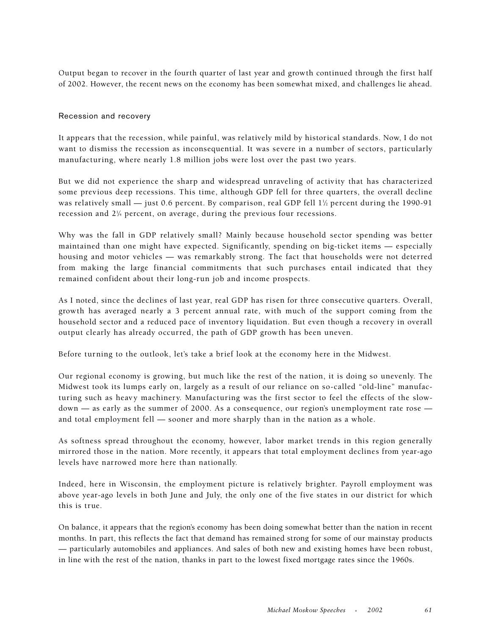Output began to recover in the fourth quarter of last year and growth continued through the first half of 2002. However, the recent news on the economy has been somewhat mixed, and challenges lie ahead.

#### Recession and recovery

It appears that the recession, while painful, was relatively mild by historical standards. Now, I do not want to dismiss the recession as inconsequential. It was severe in a number of sectors, particularly manufacturing, where nearly 1.8 million jobs were lost over the past two years.

But we did not experience the sharp and widespread unraveling of activity that has characterized some previous deep recessions. This time, although GDP fell for three quarters, the overall decline was relatively small — just 0.6 percent. By comparison, real GDP fell  $1\%$  percent during the 1990-91 recession and 21 ⁄4 percent, on average, during the previous four recessions.

Why was the fall in GDP relatively small? Mainly because household sector spending was better maintained than one might have expected. Significantly, spending on big-ticket items — especially housing and motor vehicles — was remarkably strong. The fact that households were not deterred from making the large financial commitments that such purchases entail indicated that they remained confident about their long-run job and income prospects.

As I noted, since the declines of last year, real GDP has risen for three consecutive quarters. Overall, growth has averaged nearly a 3 percent annual rate, with much of the support coming from the household sector and a reduced pace of inventory liquidation. But even though a recovery in overall output clearly has already occurred, the path of GDP growth has been uneven.

Before turning to the outlook, let's take a brief look at the economy here in the Midwest.

Our regional economy is growing, but much like the rest of the nation, it is doing so unevenly. The Midwest took its lumps early on, largely as a result of our reliance on so-called "old-line" manufacturing such as heavy machinery. Manufacturing was the first sector to feel the effects of the slowdown — as early as the summer of 2000. As a consequence, our region's unemployment rate rose and total employment fell — sooner and more sharply than in the nation as a whole.

As softness spread throughout the economy, however, labor market trends in this region generally mirrored those in the nation. More recently, it appears that total employment declines from year-ago levels have narrowed more here than nationally.

Indeed, here in Wisconsin, the employment picture is relatively brighter. Payroll employment was above year-ago levels in both June and July, the only one of the five states in our district for which this is true.

On balance, it appears that the region's economy has been doing somewhat better than the nation in recent months. In part, this reflects the fact that demand has remained strong for some of our mainstay products — particularly automobiles and appliances. And sales of both new and existing homes have been robust, in line with the rest of the nation, thanks in part to the lowest fixed mortgage rates since the 1960s.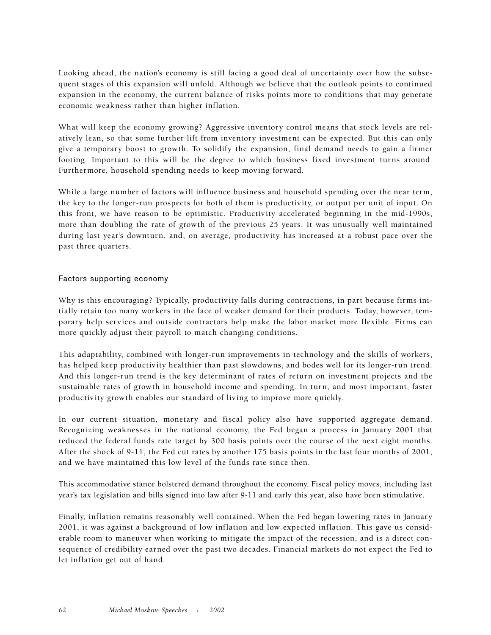Looking ahead, the nation's economy is still facing a good deal of uncertainty over how the subsequent stages of this expansion will unfold. Although we believe that the outlook points to continued expansion in the economy, the current balance of risks points more to conditions that may generate economic weakness rather than higher inflation.

What will keep the economy growing? Aggressive inventory control means that stock levels are relatively lean, so that some further lift from inventory investment can be expected. But this can only give a temporary boost to growth. To solidify the expansion, final demand needs to gain a firmer footing. Important to this will be the degree to which business fixed investment turns around. Furthermore, household spending needs to keep moving forward.

While a large number of factors will influence business and household spending over the near term, the key to the longer-run prospects for both of them is productivity, or output per unit of input. On this front, we have reason to be optimistic. Productivity accelerated beginning in the mid-1990s, more than doubling the rate of growth of the previous 25 years. It was unusually well maintained during last year's downturn, and, on average, productivity has increased at a robust pace over the past three quarters.

## Factors supporting economy

Why is this encouraging? Typically, productivity falls during contractions, in part because firms initially retain too many workers in the face of weaker demand for their products. Today, however, temporary help services and outside contractors help make the labor market more flexible. Firms can more quickly adjust their payroll to match changing conditions.

This adaptability, combined with longer-run improvements in technology and the skills of workers, has helped keep productivity healthier than past slowdowns, and bodes well for its longer-run trend. And this longer-run trend is the key determinant of rates of return on investment projects and the sustainable rates of growth in household income and spending. In turn, and most important, faster productivity growth enables our standard of living to improve more quickly.

In our current situation, monetary and fiscal policy also have supported aggregate demand. Recognizing weaknesses in the national economy, the Fed began a process in January 2001 that reduced the federal funds rate target by 300 basis points over the course of the next eight months. After the shock of 9-11, the Fed cut rates by another 175 basis points in the last four months of 2001, and we have maintained this low level of the funds rate since then.

This accommodative stance bolstered demand throughout the economy. Fiscal policy moves, including last year's tax legislation and bills signed into law after 9-11 and early this year, also have been stimulative.

Finally, inflation remains reasonably well contained. When the Fed began lowering rates in January 2001, it was against a background of low inflation and low expected inflation. This gave us considerable room to maneuver when working to mitigate the impact of the recession, and is a direct consequence of credibility earned over the past two decades. Financial markets do not expect the Fed to let inflation get out of hand.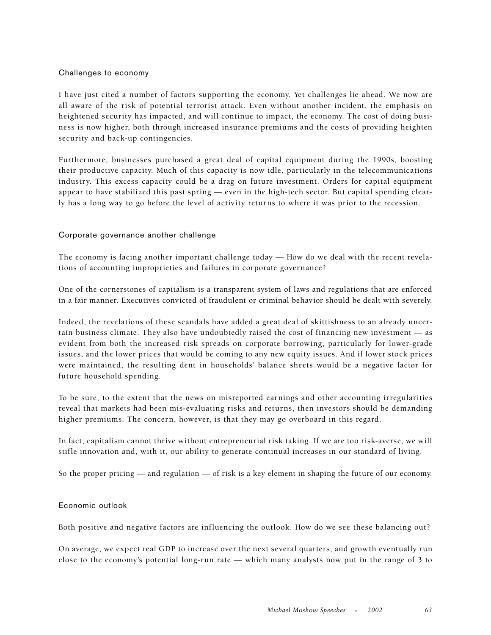#### Challenges to economy

I have just cited a number of factors supporting the economy. Yet challenges lie ahead. We now are all aware of the risk of potential terrorist attack. Even without another incident, the emphasis on heightened security has impacted, and will continue to impact, the economy. The cost of doing business is now higher, both through increased insurance premiums and the costs of providing heighten security and back-up contingencies.

Furthermore, businesses purchased a great deal of capital equipment during the 1990s, boosting their productive capacity. Much of this capacity is now idle, particularly in the telecommunications industry. This excess capacity could be a drag on future investment. Orders for capital equipment appear to have stabilized this past spring — even in the high-tech sector. But capital spending clearly has a long way to go before the level of activity returns to where it was prior to the recession.

## Corporate governance another challenge

The economy is facing another important challenge today — How do we deal with the recent revelations of accounting improprieties and failures in corporate governance?

One of the cornerstones of capitalism is a transparent system of laws and regulations that are enforced in a fair manner. Executives convicted of fraudulent or criminal behavior should be dealt with severely.

Indeed, the revelations of these scandals have added a great deal of skittishness to an already uncertain business climate. They also have undoubtedly raised the cost of financing new investment — as evident from both the increased risk spreads on corporate borrowing, particularly for lower-grade issues, and the lower prices that would be coming to any new equity issues. And if lower stock prices were maintained, the resulting dent in households' balance sheets would be a negative factor for future household spending.

To be sure, to the extent that the news on misreported earnings and other accounting irregularities reveal that markets had been mis-evaluating risks and returns, then investors should be demanding higher premiums. The concern, however, is that they may go overboard in this regard.

In fact, capitalism cannot thrive without entrepreneurial risk taking. If we are too risk-averse, we will stifle innovation and, with it, our ability to generate continual increases in our standard of living.

So the proper pricing — and regulation — of risk is a key element in shaping the future of our economy.

## Economic outlook

Both positive and negative factors are influencing the outlook. How do we see these balancing out?

On average, we expect real GDP to increase over the next several quarters, and growth eventually run close to the economy's potential long-run rate — which many analysts now put in the range of 3 to